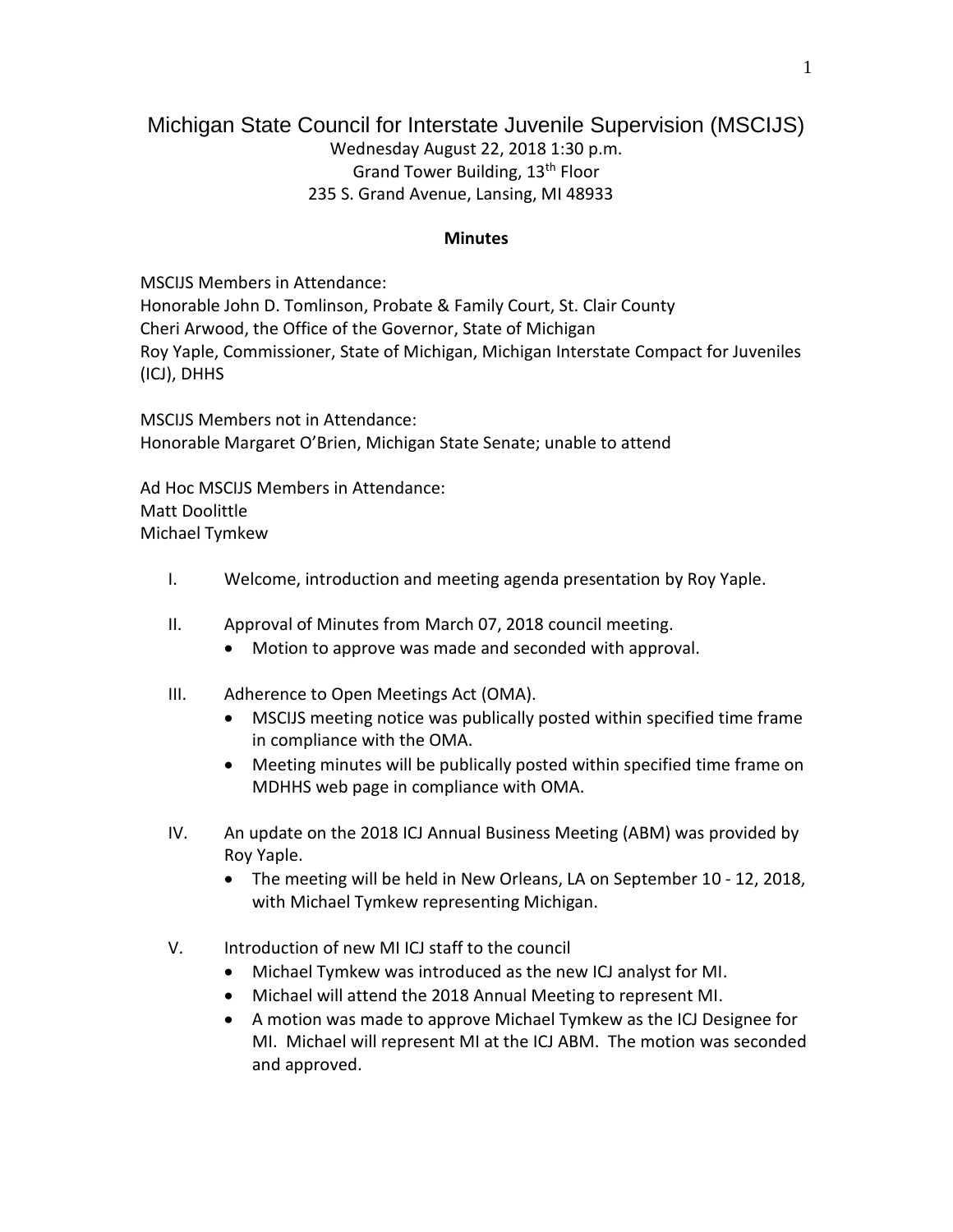## Michigan State Council for Interstate Juvenile Supervision (MSCIJS) Wednesday August 22, 2018 1:30 p.m. Grand Tower Building, 13th Floor 235 S. Grand Avenue, Lansing, MI 48933

## **Minutes**

MSCIJS Members in Attendance: Honorable John D. Tomlinson, Probate & Family Court, St. Clair County Cheri Arwood, the Office of the Governor, State of Michigan Roy Yaple, Commissioner, State of Michigan, Michigan Interstate Compact for Juveniles (ICJ), DHHS

MSCIJS Members not in Attendance: Honorable Margaret O'Brien, Michigan State Senate; unable to attend

Ad Hoc MSCIJS Members in Attendance: Matt Doolittle Michael Tymkew

- I. Welcome, introduction and meeting agenda presentation by Roy Yaple.
- II. Approval of Minutes from March 07, 2018 council meeting.
	- Motion to approve was made and seconded with approval.
- III. Adherence to Open Meetings Act (OMA).
	- MSCIJS meeting notice was publically posted within specified time frame in compliance with the OMA.
	- Meeting minutes will be publically posted within specified time frame on MDHHS web page in compliance with OMA.
- IV. An update on the 2018 ICJ Annual Business Meeting (ABM) was provided by Roy Yaple.
	- The meeting will be held in New Orleans, LA on September 10 12, 2018, with Michael Tymkew representing Michigan.
- V. Introduction of new MI ICJ staff to the council
	- Michael Tymkew was introduced as the new ICJ analyst for MI.
	- Michael will attend the 2018 Annual Meeting to represent MI.
	- A motion was made to approve Michael Tymkew as the ICJ Designee for MI. Michael will represent MI at the ICJ ABM. The motion was seconded and approved.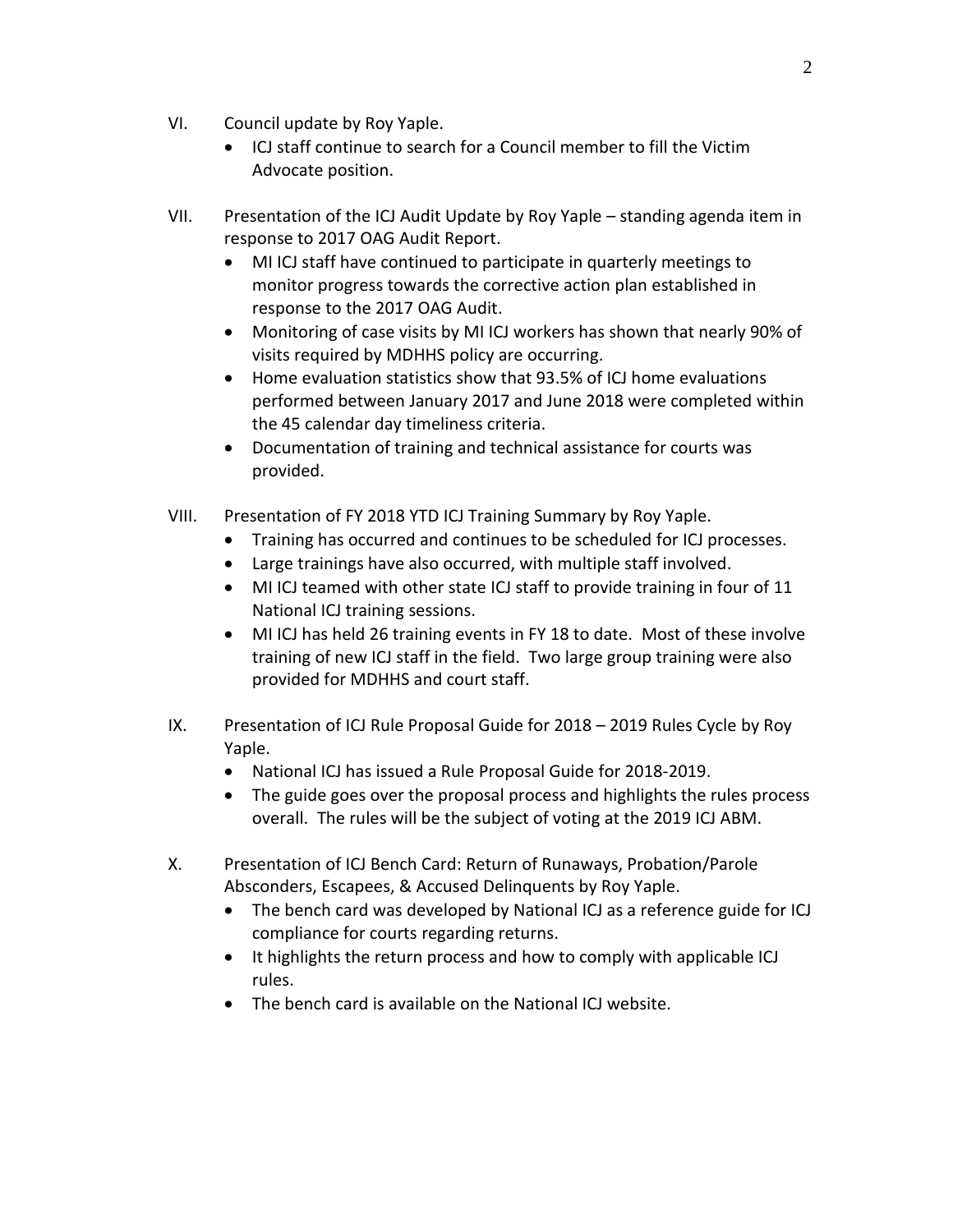- VI. Council update by Roy Yaple.
	- ICJ staff continue to search for a Council member to fill the Victim Advocate position.
- VII. Presentation of the ICJ Audit Update by Roy Yaple standing agenda item in response to 2017 OAG Audit Report.
	- MI ICJ staff have continued to participate in quarterly meetings to monitor progress towards the corrective action plan established in response to the 2017 OAG Audit.
	- Monitoring of case visits by MI ICJ workers has shown that nearly 90% of visits required by MDHHS policy are occurring.
	- Home evaluation statistics show that 93.5% of ICJ home evaluations performed between January 2017 and June 2018 were completed within the 45 calendar day timeliness criteria.
	- Documentation of training and technical assistance for courts was provided.
- VIII. Presentation of FY 2018 YTD ICJ Training Summary by Roy Yaple.
	- Training has occurred and continues to be scheduled for ICJ processes.
	- Large trainings have also occurred, with multiple staff involved.
	- MI ICJ teamed with other state ICJ staff to provide training in four of 11 National ICJ training sessions.
	- MI ICJ has held 26 training events in FY 18 to date. Most of these involve training of new ICJ staff in the field. Two large group training were also provided for MDHHS and court staff.
- IX. Presentation of ICJ Rule Proposal Guide for 2018 2019 Rules Cycle by Roy Yaple.
	- National ICJ has issued a Rule Proposal Guide for 2018-2019.
	- The guide goes over the proposal process and highlights the rules process overall. The rules will be the subject of voting at the 2019 ICJ ABM.
- X. Presentation of ICJ Bench Card: Return of Runaways, Probation/Parole Absconders, Escapees, & Accused Delinquents by Roy Yaple.
	- The bench card was developed by National ICJ as a reference guide for ICJ compliance for courts regarding returns.
	- It highlights the return process and how to comply with applicable ICJ rules.
	- The bench card is available on the National ICJ website.